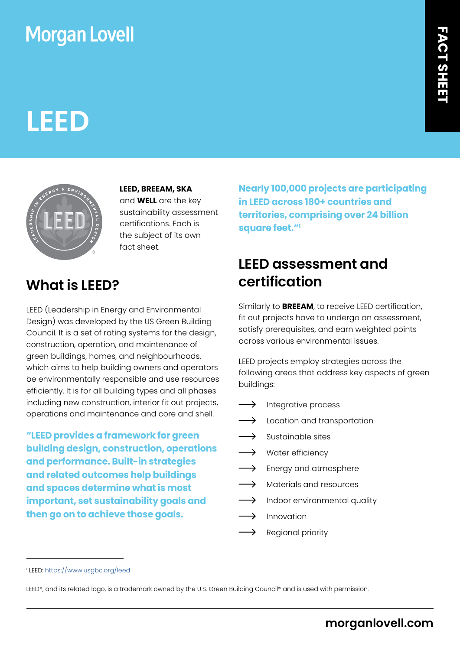## **Morgan Lovell**

# **LEED**



**LEED, BREEAM, SKA** and **WELL** are the key sustainability assessment certifications. Each is the subject of its own fact sheet.

### **What is LEED?**

LEED (Leadership in Energy and Environmental Design) was developed by the US Green Building Council. It is a set of rating systems for the design, construction, operation, and maintenance of green buildings, homes, and neighbourhoods, which aims to help building owners and operators be environmentally responsible and use resources efficiently. It is for all building types and all phases including new construction, interior fit out projects, operations and maintenance and core and shell.

**"LEED provides a framework for green building design, construction, operations and performance. Built-in strategies and related outcomes help buildings and spaces determine what is most important, set sustainability goals and then go on to achieve those goals.** 

**Nearly 100,000 projects are participating in LEED across 180+ countries and territories, comprising over 24 billion square feet."1** 

### **LEED assessment and certification**

Similarly to **BREEAM**, to receive LEED certification, fit out projects have to undergo an assessment, satisfy prerequisites, and earn weighted points across various environmental issues.

LEED projects employ strategies across the following areas that address key aspects of green buildings:

- $\longrightarrow$ Integrative process
- $\longrightarrow$ Location and transportation
- Sustainable sites
- $\longrightarrow$ Water efficiency
- $\rightarrow$ Energy and atmosphere
- $\rightarrow$ Materials and resources
- $\longrightarrow$ Indoor environmental quality
- Innovation
- $\rightarrow$ Regional priority

<sup>1</sup> LEED:<https://www.usgbc.org/leed>

LEED®, and its related logo, is a trademark owned by the U.S. Green Building Council® and is used with permission.